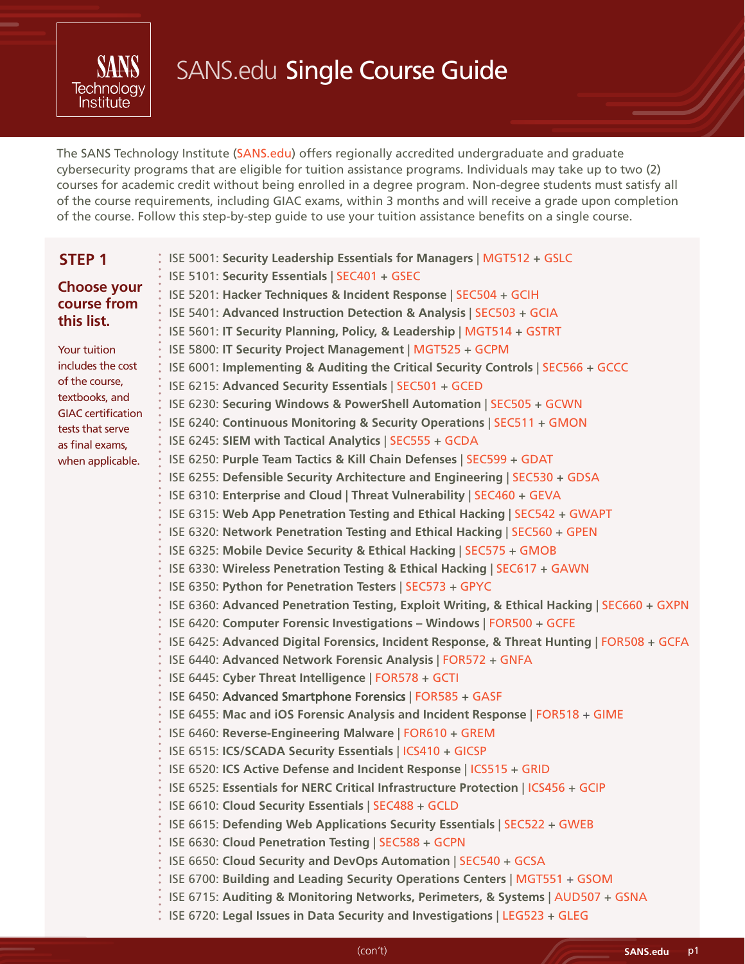

# SANS.edu Single Course Guide

The SANS Technology Institute [\(SANS.edu\)](https://www.sans.edu/) offers regionally accredited undergraduate and graduate cybersecurity programs that are eligible for tuition assistance programs. Individuals may take up to two (2) courses for academic credit without being enrolled in a degree program. Non-degree students must satisfy all of the course requirements, including GIAC exams, within 3 months and will receive a grade upon completion of the course. Follow this step-by-step guide to use your tuition assistance benefits on a single course.

| STEP <sub>1</sub>                           | ISE 5001: Security Leadership Essentials for Managers   MGT512 + GSLC                      |
|---------------------------------------------|--------------------------------------------------------------------------------------------|
|                                             | ISE 5101: Security Essentials   SEC401 + GSEC                                              |
| <b>Choose your</b>                          | ISE 5201: Hacker Techniques & Incident Response   SEC504 + GCIH                            |
| course from<br>this list.                   | ISE 5401: Advanced Instruction Detection & Analysis   SEC503 + GCIA                        |
|                                             | ISE 5601: IT Security Planning, Policy, & Leadership   MGT514 + GSTRT                      |
| Your tuition                                | ISE 5800: IT Security Project Management   MGT525 + GCPM                                   |
| includes the cost                           | ISE 6001: Implementing & Auditing the Critical Security Controls   SEC566 + GCCC           |
| of the course,                              | ISE 6215: Advanced Security Essentials   SEC501 + GCED                                     |
| textbooks, and<br><b>GIAC</b> certification | ISE 6230: Securing Windows & PowerShell Automation   SEC505 + GCWN                         |
| tests that serve                            | ISE 6240: Continuous Monitoring & Security Operations   SEC511 + GMON                      |
| as final exams,                             | ISE 6245: SIEM with Tactical Analytics   SEC555 + GCDA                                     |
| when applicable.                            | ISE 6250: Purple Team Tactics & Kill Chain Defenses   SEC599 + GDAT                        |
|                                             | ISE 6255: Defensible Security Architecture and Engineering   SEC530 + GDSA                 |
|                                             | ISE 6310: Enterprise and Cloud   Threat Vulnerability   SEC460 + GEVA                      |
|                                             | ISE 6315: Web App Penetration Testing and Ethical Hacking   SEC542 + GWAPT                 |
|                                             | ISE 6320: Network Penetration Testing and Ethical Hacking   SEC560 + GPEN                  |
|                                             | ISE 6325: Mobile Device Security & Ethical Hacking   SEC575 + GMOB                         |
|                                             | ISE 6330: Wireless Penetration Testing & Ethical Hacking   SEC617 + GAWN                   |
|                                             | ISE 6350: Python for Penetration Testers   SEC573 + GPYC                                   |
|                                             | ISE 6360: Advanced Penetration Testing, Exploit Writing, & Ethical Hacking   SEC660 + GXPN |
|                                             | ISE 6420: Computer Forensic Investigations - Windows   FOR500 + GCFE                       |
|                                             | ISE 6425: Advanced Digital Forensics, Incident Response, & Threat Hunting   FOR508 + GCFA  |
|                                             | ISE 6440: Advanced Network Forensic Analysis   FOR572 + GNFA                               |
|                                             | ISE 6445: Cyber Threat Intelligence   FOR578 + GCTI                                        |
|                                             | ISE 6450: Advanced Smartphone Forensics   FOR585 + GASF                                    |
|                                             | ISE 6455: Mac and iOS Forensic Analysis and Incident Response   FOR518 + GIME              |
|                                             | ISE 6460: Reverse-Engineering Malware   FOR610 + GREM                                      |
|                                             | ISE 6515: ICS/SCADA Security Essentials   ICS410 + GICSP                                   |
|                                             | ISE 6520: ICS Active Defense and Incident Response   ICS515 + GRID                         |
|                                             | ISE 6525: Essentials for NERC Critical Infrastructure Protection   ICS456 + GCIP           |
|                                             | ISE 6610: Cloud Security Essentials   SEC488 + GCLD                                        |
|                                             | ISE 6615: Defending Web Applications Security Essentials   SEC522 + GWEB                   |
|                                             | ISE 6630: Cloud Penetration Testing   SEC588 + GCPN                                        |
|                                             | ISE 6650: Cloud Security and DevOps Automation   SEC540 + GCSA                             |
|                                             | ISE 6700: Building and Leading Security Operations Centers   MGT551 + GSOM                 |
|                                             | ISE 6715: Auditing & Monitoring Networks, Perimeters, & Systems   AUD507 + GSNA            |
|                                             | ISE 6720: Legal Issues in Data Security and Investigations   LEG523 + GLEG                 |
|                                             |                                                                                            |